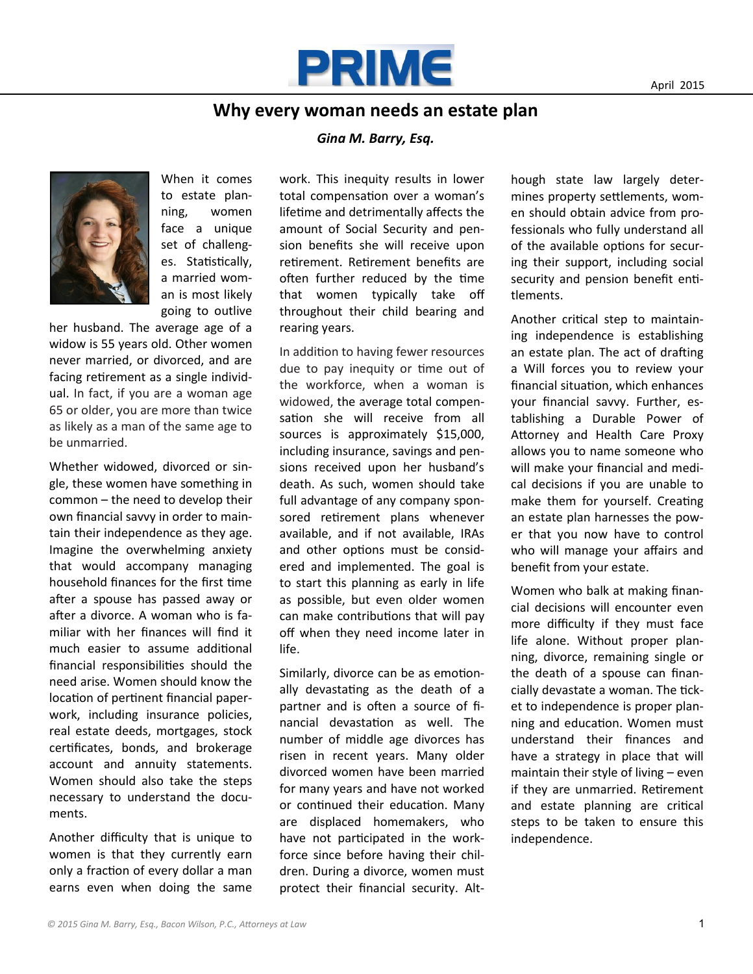

## **Why every woman needs an estate plan**

## *Gina M. Barry, Esq.*



When it comes to estate planning, women face a unique set of challenges. Statistically, a married woman is most likely going to outlive

her husband. The average age of a widow is 55 years old. Other women never married, or divorced, and are facing retirement as a single individual. In fact, if you are a woman age 65 or older, you are more than twice as likely as a man of the same age to be unmarried.

Whether widowed, divorced or single, these women have something in common – the need to develop their own financial savvy in order to maintain their independence as they age. Imagine the overwhelming anxiety that would accompany managing household finances for the first time after a spouse has passed away or after a divorce. A woman who is familiar with her finances will find it much easier to assume additional financial responsibilities should the need arise. Women should know the location of pertinent financial paperwork, including insurance policies, real estate deeds, mortgages, stock certificates, bonds, and brokerage account and annuity statements. Women should also take the steps necessary to understand the documents.

Another difficulty that is unique to women is that they currently earn only a fraction of every dollar a man earns even when doing the same work. This inequity results in lower total compensation over a woman's lifetime and detrimentally affects the amount of Social Security and pension benefits she will receive upon retirement. Retirement benefits are often further reduced by the time that women typically take off throughout their child bearing and rearing years.

In addition to having fewer resources due to pay inequity or time out of the workforce, when a woman is widowed, the average total compensation she will receive from all sources is approximately \$15,000, including insurance, savings and pensions received upon her husband's death. As such, women should take full advantage of any company sponsored retirement plans whenever available, and if not available, IRAs and other options must be considered and implemented. The goal is to start this planning as early in life as possible, but even older women can make contributions that will pay off when they need income later in life.

Similarly, divorce can be as emotionally devastating as the death of a partner and is often a source of financial devastation as well. The number of middle age divorces has risen in recent years. Many older divorced women have been married for many years and have not worked or continued their education. Many are displaced homemakers, who have not participated in the workforce since before having their children. During a divorce, women must protect their financial security. Although state law largely determines property settlements, women should obtain advice from professionals who fully understand all of the available options for securing their support, including social security and pension benefit entitlements.

Another critical step to maintaining independence is establishing an estate plan. The act of drafting a Will forces you to review your financial situation, which enhances your financial savvy. Further, establishing a Durable Power of Attorney and Health Care Proxy allows you to name someone who will make your financial and medical decisions if you are unable to make them for yourself. Creating an estate plan harnesses the power that you now have to control who will manage your affairs and benefit from your estate.

Women who balk at making financial decisions will encounter even more difficulty if they must face life alone. Without proper planning, divorce, remaining single or the death of a spouse can financially devastate a woman. The ticket to independence is proper planning and education. Women must understand their finances and have a strategy in place that will maintain their style of living – even if they are unmarried. Retirement and estate planning are critical steps to be taken to ensure this independence.